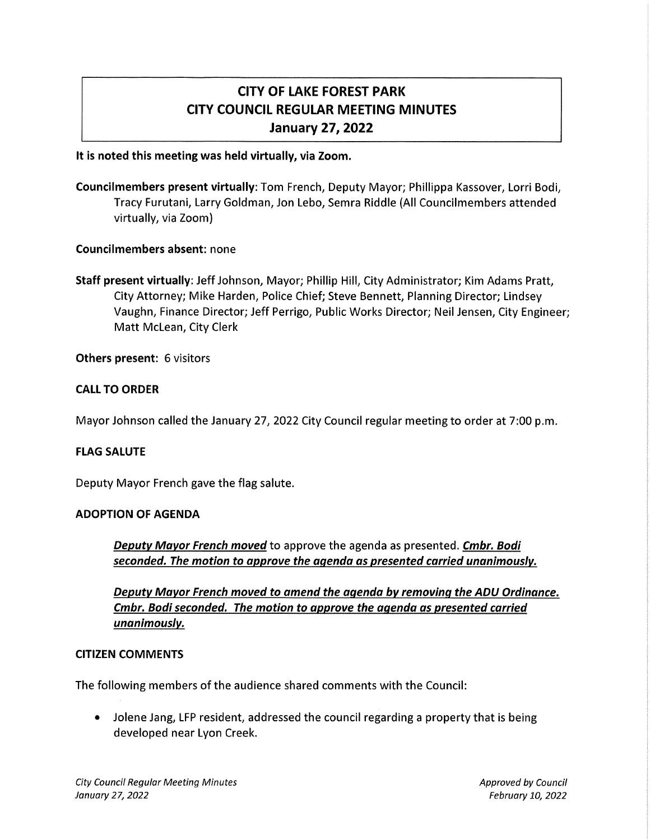# CITY OF LAKE FOREST PARK CITY COUNCIL REGULAR MEETING MINUTES January 27, 2022

## It is noted this meeting was held virtually, via Zoom.

Councilmembers present virtually: Tom French, Deputy Mayor; Phillippa Kassover, Lorri Bodi, Tracy Furutani, Larry Goldman, Jon Lebo, Semra Riddle (All Councilmembers attended virtually, via Zoom)

# Councilmembers absent: none

Staff present virtually: Jeff Johnson, Mayor; Phillip Hill, City Administrator; Kim Adams Pratt, City Attorney; Mike Harden, Police Chief; Steve Bennett, Planning Director; Lindsey Vaughn, Finance Director; Jeff Perrigo, Public Works Director; Neil Jensen, City Engineer; Matt Mclean, City Clerk

### Others present: 6 visitors

### CALL TO ORDER

Mayor Johnson called the January 27, 2022 City Council regular meeting to order at 7:00 p.m.

### FLAG SALUTE

Deputy Mayor French gave the flag salute.

### ADOPTION OF AGENDA

Deputy Mayor French moved to approve the agenda as presented. Cmbr. Bodi seconded. The motion to approve the agenda as presented carried unanimously.

Deputy Mayor French moved to amend the agenda by removing the ADU Ordinance. Cmbr. Bodi seconded. The motion to approve the agenda as presented carried unanimously.

#### CITIZEN COMMENTS

The following members of the audience shared comments with the Council:

• Jolene Jang, LFP resident, addressed the council regarding a property that is being developed near Lyon Creek.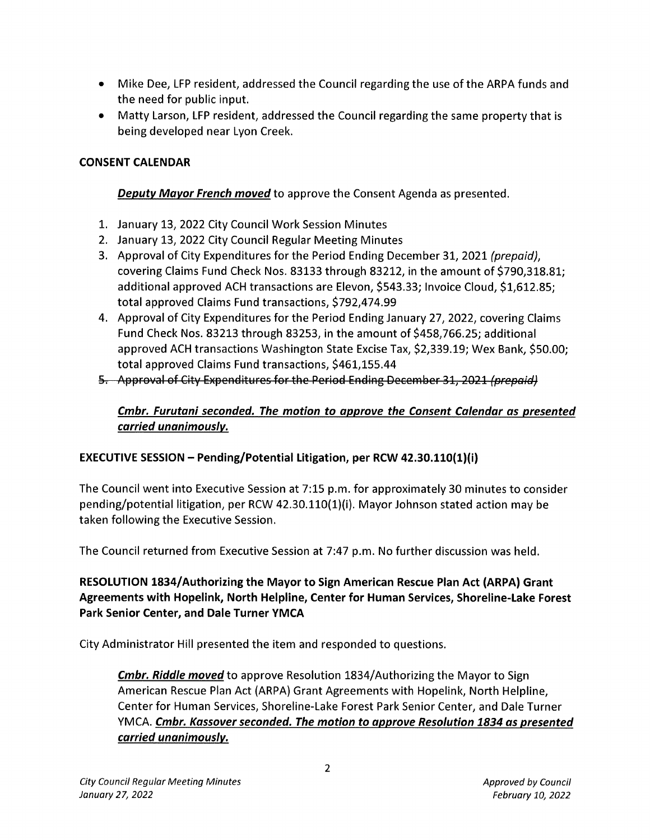- Mike Dee, LFP resident, addressed the Council regarding the use of the ARPA funds and the need for public input.
- Matty Larson, LFP resident, addressed the Council regarding the same property that is being developed near Lyon Creek.

# **CONSENT CALENDAR**

# **Deputy Mayor French moved** to approve the Consent Agenda as presented.

- 1. January 13, 2022 City Council Work Session Minutes
- 2. January 13, 2022 City Council Regular Meeting Minutes
- 3. Approval of City Expenditures for the Period Ending December 31, 2021 (prepaid), covering Claims Fund Check Nos. 83133 through 83212, in the amount of \$790,318.81; additional approved ACH transactions are Elevon, \$543.33; Invoice Cloud, \$1,612.85; total approved Claims Fund transactions, \$792,474.99
- 4. Approval of City Expenditures for the Period Ending January 27, 2022, covering Claims Fund Check Nos. 83213 through 83253, in the amount of \$458,766.25; additional approved ACH transactions Washington State Excise Tax, \$2,339.19; Wex Bank, \$50.00; total approved Claims Fund transactions, \$461,155.44
- 5. Approval of City Expenditures for the Period Ending December 31, 2021 (prepaid)

# **Cmbr. Furutani seconded. The motion to approve the Consent Calendar as presented carried unanimously.**

# **EXECUTIVE SESSION - Pending/Potential Litigation, per RCW 42.30.110(1)(i)**

The Council went into Executive Session at 7:15 p.m. for approximately 30 minutes to consider pending/potential litigation, per RCW 42.30.110(1)(i). Mayor Johnson stated action may be taken following the Executive Session.

The Council returned from Executive Session at 7:47 p.m. No further discussion was held.

# **RESOLUTION 1834/ Authorizing the Mayor to Sign American Rescue Plan Act (ARPA} Grant Agreements with Hopelink, North Helpline, Center for Human Services, Shoreline-Lake Forest Park Senior Center, and Dale Turner YMCA**

City Administrator Hill presented the item and responded to questions.

**Cmbr. Riddle moved** to approve Resolution 1834/Authorizing the Mayor to Sign American Rescue Plan Act (ARPA) Grant Agreements with Hopelink, North Helpline, Center for Human Services, Shoreline-Lake Forest Park Senior Center, and Dale Turner YMCA. **Cmbr. Kassover seconded. The motion to approve Resolution 1834 as presented carried unanimously.**